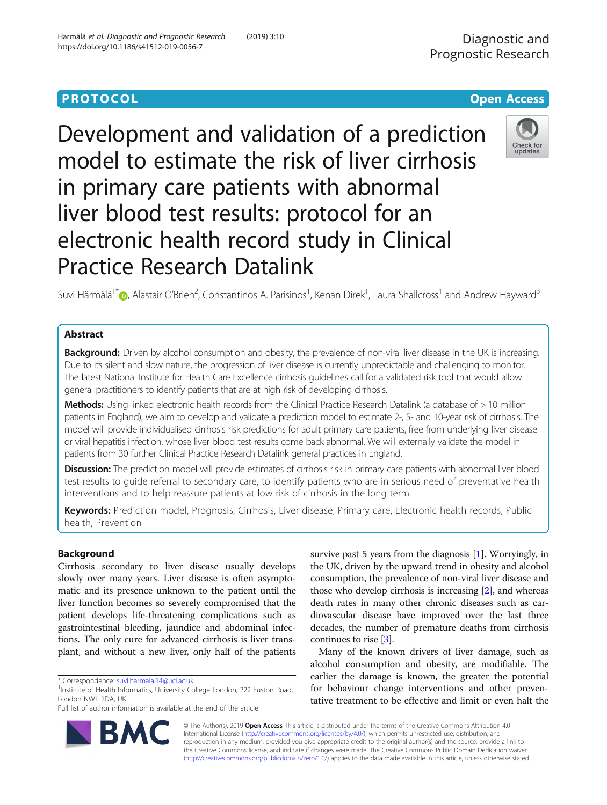Development and validation of a prediction model to estimate the risk of liver cirrhosis in primary care patients with abnormal liver blood test results: protocol for an electronic health record study in Clinical Practice Research Datalink

Suvi Härmälä<sup>1\*</sup>®, Alastair O'Brien<sup>2</sup>, Constantinos A. Parisinos<sup>1</sup>, Kenan Direk<sup>1</sup>, Laura Shallcross<sup>1</sup> and Andrew Hayward<sup>3</sup>

# Abstract

Background: Driven by alcohol consumption and obesity, the prevalence of non-viral liver disease in the UK is increasing. Due to its silent and slow nature, the progression of liver disease is currently unpredictable and challenging to monitor. The latest National Institute for Health Care Excellence cirrhosis guidelines call for a validated risk tool that would allow general practitioners to identify patients that are at high risk of developing cirrhosis.

Methods: Using linked electronic health records from the Clinical Practice Research Datalink (a database of > 10 million patients in England), we aim to develop and validate a prediction model to estimate 2-, 5- and 10-year risk of cirrhosis. The model will provide individualised cirrhosis risk predictions for adult primary care patients, free from underlying liver disease or viral hepatitis infection, whose liver blood test results come back abnormal. We will externally validate the model in patients from 30 further Clinical Practice Research Datalink general practices in England.

**Discussion:** The prediction model will provide estimates of cirrhosis risk in primary care patients with abnormal liver blood test results to guide referral to secondary care, to identify patients who are in serious need of preventative health interventions and to help reassure patients at low risk of cirrhosis in the long term.

Keywords: Prediction model, Prognosis, Cirrhosis, Liver disease, Primary care, Electronic health records, Public health, Prevention

## Background

Cirrhosis secondary to liver disease usually develops slowly over many years. Liver disease is often asymptomatic and its presence unknown to the patient until the liver function becomes so severely compromised that the patient develops life-threatening complications such as gastrointestinal bleeding, jaundice and abdominal infections. The only cure for advanced cirrhosis is liver transplant, and without a new liver, only half of the patients

\* Correspondence: [suvi.harmala.14@ucl.ac.uk](mailto:suvi.harmala.14@ucl.ac.uk) <sup>1</sup>

<sup>1</sup>Institute of Health Informatics, University College London, 222 Euston Road, London NW1 2DA, UK

Full list of author information is available at the end of the article

survive past 5 years from the diagnosis [\[1](#page-9-0)]. Worryingly, in the UK, driven by the upward trend in obesity and alcohol consumption, the prevalence of non-viral liver disease and those who develop cirrhosis is increasing [[2](#page-9-0)], and whereas death rates in many other chronic diseases such as cardiovascular disease have improved over the last three decades, the number of premature deaths from cirrhosis continues to rise [[3](#page-9-0)].

Many of the known drivers of liver damage, such as alcohol consumption and obesity, are modifiable. The earlier the damage is known, the greater the potential for behaviour change interventions and other preventative treatment to be effective and limit or even halt the

© The Author(s). 2019 Open Access This article is distributed under the terms of the Creative Commons Attribution 4.0 International License [\(http://creativecommons.org/licenses/by/4.0/](http://creativecommons.org/licenses/by/4.0/)), which permits unrestricted use, distribution, and reproduction in any medium, provided you give appropriate credit to the original author(s) and the source, provide a link to the Creative Commons license, and indicate if changes were made. The Creative Commons Public Domain Dedication waiver [\(http://creativecommons.org/publicdomain/zero/1.0/](http://creativecommons.org/publicdomain/zero/1.0/)) applies to the data made available in this article, unless otherwise stated.



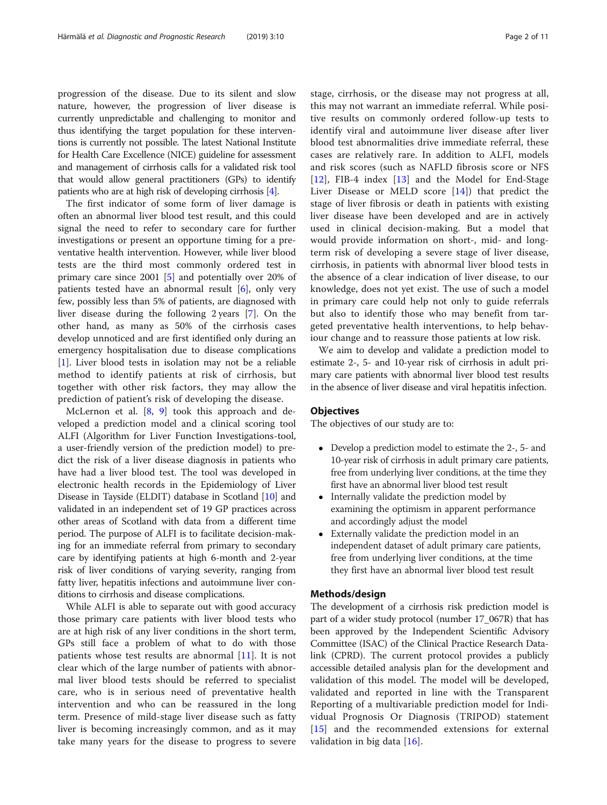progression of the disease. Due to its silent and slow nature, however, the progression of liver disease is currently unpredictable and challenging to monitor and thus identifying the target population for these interventions is currently not possible. The latest National Institute for Health Care Excellence (NICE) guideline for assessment and management of cirrhosis calls for a validated risk tool that would allow general practitioners (GPs) to identify patients who are at high risk of developing cirrhosis [\[4](#page-9-0)].

The first indicator of some form of liver damage is often an abnormal liver blood test result, and this could signal the need to refer to secondary care for further investigations or present an opportune timing for a preventative health intervention. However, while liver blood tests are the third most commonly ordered test in primary care since 2001 [[5\]](#page-9-0) and potentially over 20% of patients tested have an abnormal result  $[6]$  $[6]$ , only very few, possibly less than 5% of patients, are diagnosed with liver disease during the following 2 years [[7](#page-9-0)]. On the other hand, as many as 50% of the cirrhosis cases develop unnoticed and are first identified only during an emergency hospitalisation due to disease complications [[1\]](#page-9-0). Liver blood tests in isolation may not be a reliable method to identify patients at risk of cirrhosis, but together with other risk factors, they may allow the prediction of patient's risk of developing the disease.

McLernon et al. [[8,](#page-9-0) [9](#page-9-0)] took this approach and developed a prediction model and a clinical scoring tool ALFI (Algorithm for Liver Function Investigations-tool, a user-friendly version of the prediction model) to predict the risk of a liver disease diagnosis in patients who have had a liver blood test. The tool was developed in electronic health records in the Epidemiology of Liver Disease in Tayside (ELDIT) database in Scotland [[10](#page-9-0)] and validated in an independent set of 19 GP practices across other areas of Scotland with data from a different time period. The purpose of ALFI is to facilitate decision-making for an immediate referral from primary to secondary care by identifying patients at high 6-month and 2-year risk of liver conditions of varying severity, ranging from fatty liver, hepatitis infections and autoimmune liver conditions to cirrhosis and disease complications.

While ALFI is able to separate out with good accuracy those primary care patients with liver blood tests who are at high risk of any liver conditions in the short term, GPs still face a problem of what to do with those patients whose test results are abnormal [[11\]](#page-9-0). It is not clear which of the large number of patients with abnormal liver blood tests should be referred to specialist care, who is in serious need of preventative health intervention and who can be reassured in the long term. Presence of mild-stage liver disease such as fatty liver is becoming increasingly common, and as it may take many years for the disease to progress to severe stage, cirrhosis, or the disease may not progress at all, this may not warrant an immediate referral. While positive results on commonly ordered follow-up tests to identify viral and autoimmune liver disease after liver blood test abnormalities drive immediate referral, these cases are relatively rare. In addition to ALFI, models and risk scores (such as NAFLD fibrosis score or NFS [[12\]](#page-9-0), FIB-4 index [[13](#page-9-0)] and the Model for End-Stage Liver Disease or MELD score  $[14]$  $[14]$ ) that predict the stage of liver fibrosis or death in patients with existing liver disease have been developed and are in actively used in clinical decision-making. But a model that would provide information on short-, mid- and longterm risk of developing a severe stage of liver disease, cirrhosis, in patients with abnormal liver blood tests in the absence of a clear indication of liver disease, to our knowledge, does not yet exist. The use of such a model in primary care could help not only to guide referrals but also to identify those who may benefit from targeted preventative health interventions, to help behaviour change and to reassure those patients at low risk.

We aim to develop and validate a prediction model to estimate 2-, 5- and 10-year risk of cirrhosis in adult primary care patients with abnormal liver blood test results in the absence of liver disease and viral hepatitis infection.

### **Objectives**

The objectives of our study are to:

- Develop a prediction model to estimate the 2-, 5- and 10-year risk of cirrhosis in adult primary care patients, free from underlying liver conditions, at the time they first have an abnormal liver blood test result
- Internally validate the prediction model by examining the optimism in apparent performance and accordingly adjust the model
- Externally validate the prediction model in an independent dataset of adult primary care patients, free from underlying liver conditions, at the time they first have an abnormal liver blood test result

#### Methods/design

The development of a cirrhosis risk prediction model is part of a wider study protocol (number 17\_067R) that has been approved by the Independent Scientific Advisory Committee (ISAC) of the Clinical Practice Research Datalink (CPRD). The current protocol provides a publicly accessible detailed analysis plan for the development and validation of this model. The model will be developed, validated and reported in line with the Transparent Reporting of a multivariable prediction model for Individual Prognosis Or Diagnosis (TRIPOD) statement [[15](#page-9-0)] and the recommended extensions for external validation in big data [\[16](#page-9-0)].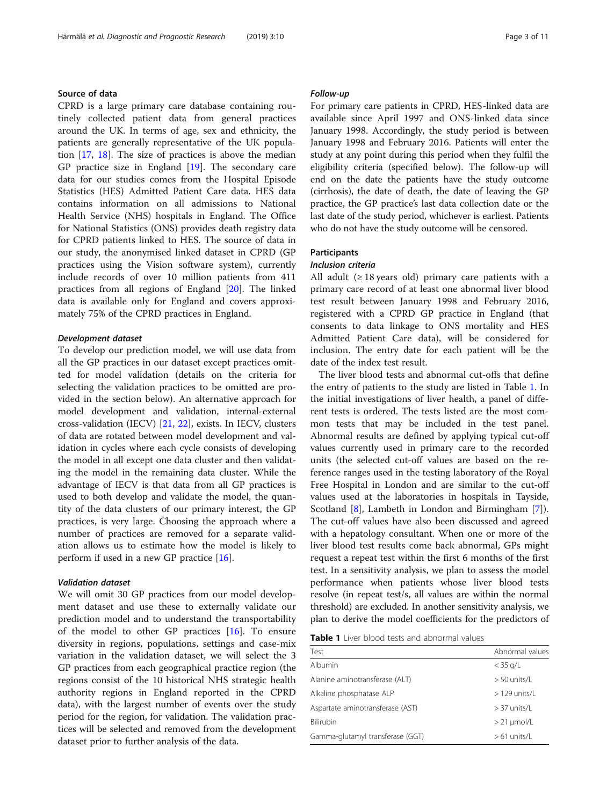## Source of data

CPRD is a large primary care database containing routinely collected patient data from general practices around the UK. In terms of age, sex and ethnicity, the patients are generally representative of the UK population [\[17,](#page-9-0) [18\]](#page-9-0). The size of practices is above the median GP practice size in England [\[19](#page-9-0)]. The secondary care data for our studies comes from the Hospital Episode Statistics (HES) Admitted Patient Care data. HES data contains information on all admissions to National Health Service (NHS) hospitals in England. The Office for National Statistics (ONS) provides death registry data for CPRD patients linked to HES. The source of data in our study, the anonymised linked dataset in CPRD (GP practices using the Vision software system), currently include records of over 10 million patients from 411 practices from all regions of England [[20](#page-9-0)]. The linked data is available only for England and covers approximately 75% of the CPRD practices in England.

### Development dataset

To develop our prediction model, we will use data from all the GP practices in our dataset except practices omitted for model validation (details on the criteria for selecting the validation practices to be omitted are provided in the section below). An alternative approach for model development and validation, internal-external cross-validation (IECV) [[21](#page-9-0), [22](#page-9-0)], exists. In IECV, clusters of data are rotated between model development and validation in cycles where each cycle consists of developing the model in all except one data cluster and then validating the model in the remaining data cluster. While the advantage of IECV is that data from all GP practices is used to both develop and validate the model, the quantity of the data clusters of our primary interest, the GP practices, is very large. Choosing the approach where a number of practices are removed for a separate validation allows us to estimate how the model is likely to perform if used in a new GP practice [[16\]](#page-9-0).

## Validation dataset

We will omit 30 GP practices from our model development dataset and use these to externally validate our prediction model and to understand the transportability of the model to other GP practices [\[16](#page-9-0)]. To ensure diversity in regions, populations, settings and case-mix variation in the validation dataset, we will select the 3 GP practices from each geographical practice region (the regions consist of the 10 historical NHS strategic health authority regions in England reported in the CPRD data), with the largest number of events over the study period for the region, for validation. The validation practices will be selected and removed from the development dataset prior to further analysis of the data.

#### Follow-up

For primary care patients in CPRD, HES-linked data are available since April 1997 and ONS-linked data since January 1998. Accordingly, the study period is between January 1998 and February 2016. Patients will enter the study at any point during this period when they fulfil the eligibility criteria (specified below). The follow-up will end on the date the patients have the study outcome (cirrhosis), the date of death, the date of leaving the GP practice, the GP practice's last data collection date or the last date of the study period, whichever is earliest. Patients who do not have the study outcome will be censored.

#### **Participants**

#### Inclusion criteria

All adult  $(≥ 18$  years old) primary care patients with a primary care record of at least one abnormal liver blood test result between January 1998 and February 2016, registered with a CPRD GP practice in England (that consents to data linkage to ONS mortality and HES Admitted Patient Care data), will be considered for inclusion. The entry date for each patient will be the date of the index test result.

The liver blood tests and abnormal cut-offs that define the entry of patients to the study are listed in Table 1. In the initial investigations of liver health, a panel of different tests is ordered. The tests listed are the most common tests that may be included in the test panel. Abnormal results are defined by applying typical cut-off values currently used in primary care to the recorded units (the selected cut-off values are based on the reference ranges used in the testing laboratory of the Royal Free Hospital in London and are similar to the cut-off values used at the laboratories in hospitals in Tayside, Scotland [\[8](#page-9-0)], Lambeth in London and Birmingham [\[7](#page-9-0)]). The cut-off values have also been discussed and agreed with a hepatology consultant. When one or more of the liver blood test results come back abnormal, GPs might request a repeat test within the first 6 months of the first test. In a sensitivity analysis, we plan to assess the model performance when patients whose liver blood tests resolve (in repeat test/s, all values are within the normal threshold) are excluded. In another sensitivity analysis, we plan to derive the model coefficients for the predictors of

| <b>Table 1</b> Liver blood tests and abnormal values |  |
|------------------------------------------------------|--|
|------------------------------------------------------|--|

| Test                             | Abnormal values |
|----------------------------------|-----------------|
| Albumin                          | $<$ 35 g/L      |
| Alanine aminotransferase (ALT)   | $>$ 50 units/L  |
| Alkaline phosphatase ALP         | $>129$ units/l  |
| Aspartate aminotransferase (AST) | $>$ 37 units/L  |
| Bilirubin                        | $> 21$ µmol/L   |
| Gamma-glutamyl transferase (GGT) | $>61$ units/L   |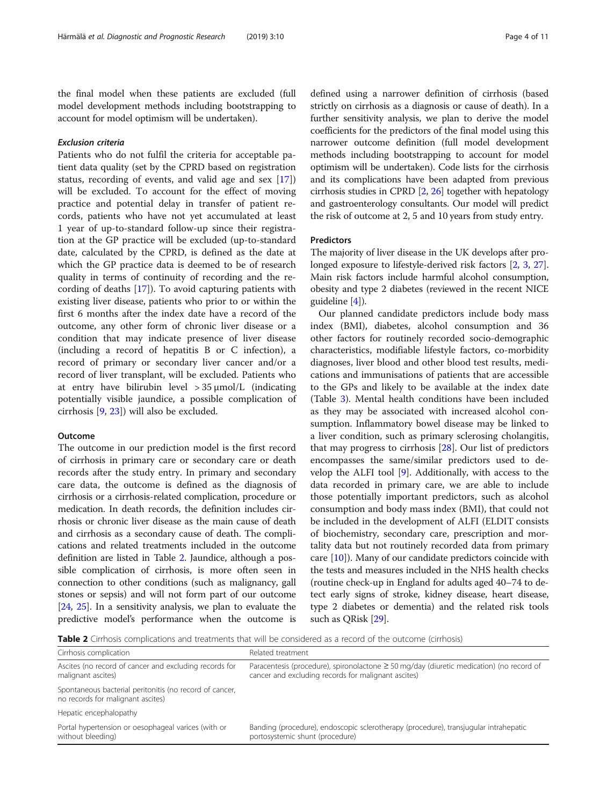the final model when these patients are excluded (full model development methods including bootstrapping to account for model optimism will be undertaken).

### Exclusion criteria

Patients who do not fulfil the criteria for acceptable patient data quality (set by the CPRD based on registration status, recording of events, and valid age and sex [\[17](#page-9-0)]) will be excluded. To account for the effect of moving practice and potential delay in transfer of patient records, patients who have not yet accumulated at least 1 year of up-to-standard follow-up since their registration at the GP practice will be excluded (up-to-standard date, calculated by the CPRD, is defined as the date at which the GP practice data is deemed to be of research quality in terms of continuity of recording and the recording of deaths [\[17](#page-9-0)]). To avoid capturing patients with existing liver disease, patients who prior to or within the first 6 months after the index date have a record of the outcome, any other form of chronic liver disease or a condition that may indicate presence of liver disease (including a record of hepatitis B or C infection), a record of primary or secondary liver cancer and/or a record of liver transplant, will be excluded. Patients who at entry have bilirubin level  $> 35 \mu$ mol/L (indicating potentially visible jaundice, a possible complication of cirrhosis [[9,](#page-9-0) [23](#page-9-0)]) will also be excluded.

### Outcome

The outcome in our prediction model is the first record of cirrhosis in primary care or secondary care or death records after the study entry. In primary and secondary care data, the outcome is defined as the diagnosis of cirrhosis or a cirrhosis-related complication, procedure or medication. In death records, the definition includes cirrhosis or chronic liver disease as the main cause of death and cirrhosis as a secondary cause of death. The complications and related treatments included in the outcome definition are listed in Table 2. Jaundice, although a possible complication of cirrhosis, is more often seen in connection to other conditions (such as malignancy, gall stones or sepsis) and will not form part of our outcome [[24](#page-9-0), [25\]](#page-9-0). In a sensitivity analysis, we plan to evaluate the predictive model's performance when the outcome is defined using a narrower definition of cirrhosis (based strictly on cirrhosis as a diagnosis or cause of death). In a further sensitivity analysis, we plan to derive the model coefficients for the predictors of the final model using this narrower outcome definition (full model development methods including bootstrapping to account for model optimism will be undertaken). Code lists for the cirrhosis and its complications have been adapted from previous cirrhosis studies in CPRD [\[2](#page-9-0), [26\]](#page-9-0) together with hepatology and gastroenterology consultants. Our model will predict the risk of outcome at 2, 5 and 10 years from study entry.

#### Predictors

The majority of liver disease in the UK develops after prolonged exposure to lifestyle-derived risk factors [\[2,](#page-9-0) [3](#page-9-0), [27](#page-9-0)]. Main risk factors include harmful alcohol consumption, obesity and type 2 diabetes (reviewed in the recent NICE guideline [[4\]](#page-9-0)).

Our planned candidate predictors include body mass index (BMI), diabetes, alcohol consumption and 36 other factors for routinely recorded socio-demographic characteristics, modifiable lifestyle factors, co-morbidity diagnoses, liver blood and other blood test results, medications and immunisations of patients that are accessible to the GPs and likely to be available at the index date (Table [3](#page-4-0)). Mental health conditions have been included as they may be associated with increased alcohol consumption. Inflammatory bowel disease may be linked to a liver condition, such as primary sclerosing cholangitis, that may progress to cirrhosis [\[28](#page-9-0)]. Our list of predictors encompasses the same/similar predictors used to develop the ALFI tool [[9\]](#page-9-0). Additionally, with access to the data recorded in primary care, we are able to include those potentially important predictors, such as alcohol consumption and body mass index (BMI), that could not be included in the development of ALFI (ELDIT consists of biochemistry, secondary care, prescription and mortality data but not routinely recorded data from primary care [[10](#page-9-0)]). Many of our candidate predictors coincide with the tests and measures included in the NHS health checks (routine check-up in England for adults aged 40–74 to detect early signs of stroke, kidney disease, heart disease, type 2 diabetes or dementia) and the related risk tools such as QRisk [[29](#page-9-0)].

Table 2 Cirrhosis complications and treatments that will be considered as a record of the outcome (cirrhosis)

| Cirrhosis complication                                                                       | Related treatment                                                                                                                                    |
|----------------------------------------------------------------------------------------------|------------------------------------------------------------------------------------------------------------------------------------------------------|
| Ascites (no record of cancer and excluding records for<br>malignant ascites)                 | Paracentesis (procedure), spironolactone $\geq$ 50 mg/day (diuretic medication) (no record of<br>cancer and excluding records for malignant ascites) |
| Spontaneous bacterial peritonitis (no record of cancer,<br>no records for malignant ascites) |                                                                                                                                                      |
| Hepatic encephalopathy                                                                       |                                                                                                                                                      |
| Portal hypertension or oesophageal varices (with or<br>without bleeding)                     | Banding (procedure), endoscopic sclerotherapy (procedure), transjugular intrahepatic<br>portosystemic shunt (procedure)                              |
|                                                                                              |                                                                                                                                                      |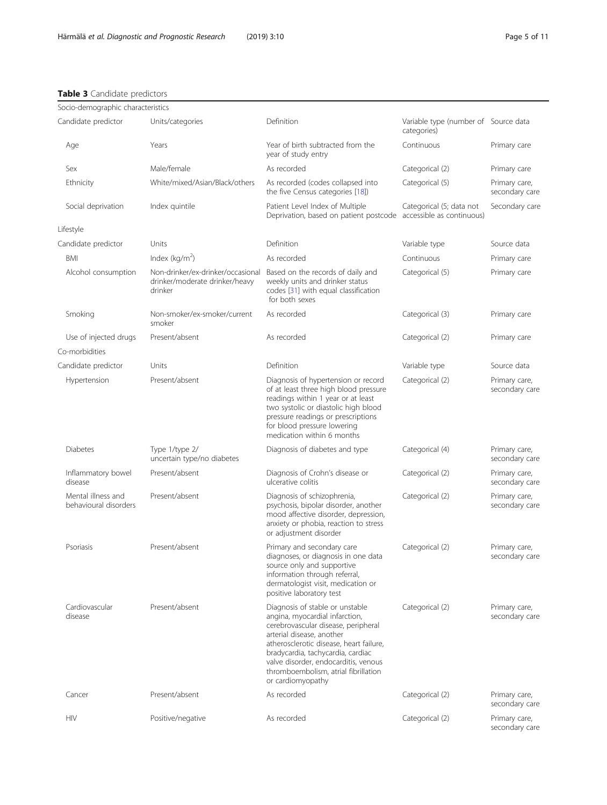## <span id="page-4-0"></span>Table 3 Candidate predictors

| Socio-demographic characteristics           |                                                                                |                                                                                                                                                                                                                                                                                                                            |                                                     |                                 |
|---------------------------------------------|--------------------------------------------------------------------------------|----------------------------------------------------------------------------------------------------------------------------------------------------------------------------------------------------------------------------------------------------------------------------------------------------------------------------|-----------------------------------------------------|---------------------------------|
| Candidate predictor                         | Units/categories                                                               | Definition                                                                                                                                                                                                                                                                                                                 | Variable type (number of Source data<br>categories) |                                 |
| Age                                         | Years                                                                          | Year of birth subtracted from the<br>year of study entry                                                                                                                                                                                                                                                                   | Continuous                                          | Primary care                    |
| Sex                                         | Male/female                                                                    | As recorded                                                                                                                                                                                                                                                                                                                | Categorical (2)                                     | Primary care                    |
| Ethnicity                                   | White/mixed/Asian/Black/others                                                 | As recorded (codes collapsed into<br>the five Census categories [18])                                                                                                                                                                                                                                                      | Categorical (5)                                     | Primary care,<br>secondary care |
| Social deprivation                          | Index quintile                                                                 | Patient Level Index of Multiple<br>Deprivation, based on patient postcode accessible as continuous)                                                                                                                                                                                                                        | Categorical (5; data not                            | Secondary care                  |
| Lifestyle                                   |                                                                                |                                                                                                                                                                                                                                                                                                                            |                                                     |                                 |
| Candidate predictor                         | Units                                                                          | Definition                                                                                                                                                                                                                                                                                                                 | Variable type                                       | Source data                     |
| <b>BMI</b>                                  | Index ( $kg/m2$ )                                                              | As recorded                                                                                                                                                                                                                                                                                                                | Continuous                                          | Primary care                    |
| Alcohol consumption                         | Non-drinker/ex-drinker/occasional<br>drinker/moderate drinker/heavy<br>drinker | Based on the records of daily and<br>weekly units and drinker status<br>codes [31] with equal classification<br>for both sexes                                                                                                                                                                                             | Categorical (5)                                     | Primary care                    |
| Smoking                                     | Non-smoker/ex-smoker/current<br>smoker                                         | As recorded                                                                                                                                                                                                                                                                                                                | Categorical (3)                                     | Primary care                    |
| Use of injected drugs                       | Present/absent                                                                 | As recorded                                                                                                                                                                                                                                                                                                                | Categorical (2)                                     | Primary care                    |
| Co-morbidities                              |                                                                                |                                                                                                                                                                                                                                                                                                                            |                                                     |                                 |
| Candidate predictor                         | Units                                                                          | Definition                                                                                                                                                                                                                                                                                                                 | Variable type                                       | Source data                     |
| Hypertension                                | Present/absent                                                                 | Diagnosis of hypertension or record<br>of at least three high blood pressure<br>readings within 1 year or at least<br>two systolic or diastolic high blood<br>pressure readings or prescriptions<br>for blood pressure lowering<br>medication within 6 months                                                              | Categorical (2)                                     | Primary care,<br>secondary care |
| Diabetes                                    | Type 1/type 2/<br>uncertain type/no diabetes                                   | Diagnosis of diabetes and type                                                                                                                                                                                                                                                                                             | Categorical (4)                                     | Primary care,<br>secondary care |
| Inflammatory bowel<br>disease               | Present/absent                                                                 | Diagnosis of Crohn's disease or<br>ulcerative colitis                                                                                                                                                                                                                                                                      | Categorical (2)                                     | Primary care,<br>secondary care |
| Mental illness and<br>behavioural disorders | Present/absent                                                                 | Diagnosis of schizophrenia,<br>psychosis, bipolar disorder, another<br>mood affective disorder, depression,<br>anxiety or phobia, reaction to stress<br>or adjustment disorder                                                                                                                                             | Categorical (2)                                     | Primary care,<br>secondary care |
| Psoriasis                                   | Present/absent                                                                 | Primary and secondary care<br>diagnoses, or diagnosis in one data<br>source only and supportive<br>information through referral,<br>dermatologist visit, medication or<br>positive laboratory test                                                                                                                         | Categorical (2)                                     | Primary care,<br>secondary care |
| Cardiovascular<br>disease                   | Present/absent                                                                 | Diagnosis of stable or unstable<br>angina, myocardial infarction,<br>cerebrovascular disease, peripheral<br>arterial disease, another<br>atherosclerotic disease, heart failure,<br>bradycardia, tachycardia, cardiac<br>valve disorder, endocarditis, venous<br>thromboembolism, atrial fibrillation<br>or cardiomyopathy | Categorical (2)                                     | Primary care,<br>secondary care |
| Cancer                                      | Present/absent                                                                 | As recorded                                                                                                                                                                                                                                                                                                                | Categorical (2)                                     | Primary care,<br>secondary care |
| HIV                                         | Positive/negative                                                              | As recorded                                                                                                                                                                                                                                                                                                                | Categorical (2)                                     | Primary care,<br>secondary care |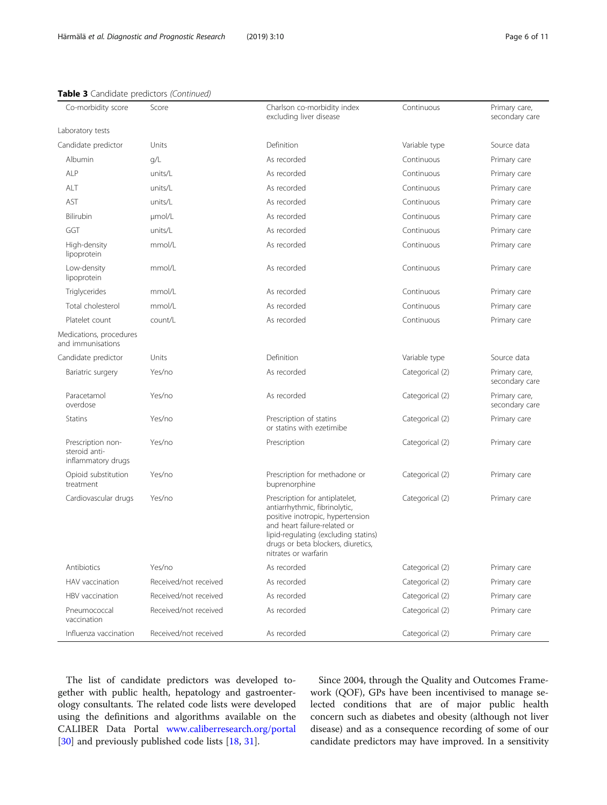| Co-morbidity score                                       | Score                 | Charlson co-morbidity index<br>excluding liver disease                                                                                                                                                                                    | Continuous      | Primary care,<br>secondary care |
|----------------------------------------------------------|-----------------------|-------------------------------------------------------------------------------------------------------------------------------------------------------------------------------------------------------------------------------------------|-----------------|---------------------------------|
| Laboratory tests                                         |                       |                                                                                                                                                                                                                                           |                 |                                 |
| Candidate predictor                                      | Units                 | Definition                                                                                                                                                                                                                                | Variable type   | Source data                     |
| Albumin                                                  | q/L                   | As recorded                                                                                                                                                                                                                               | Continuous      | Primary care                    |
| ALP                                                      | units/L               | As recorded                                                                                                                                                                                                                               | Continuous      | Primary care                    |
| ALT                                                      | units/L               | As recorded                                                                                                                                                                                                                               | Continuous      | Primary care                    |
| AST                                                      | units/L               | As recorded                                                                                                                                                                                                                               | Continuous      | Primary care                    |
| Bilirubin                                                | µmol/L                | As recorded                                                                                                                                                                                                                               | Continuous      | Primary care                    |
| GGT                                                      | units/L               | As recorded                                                                                                                                                                                                                               | Continuous      | Primary care                    |
| High-density<br>lipoprotein                              | mmol/L                | As recorded                                                                                                                                                                                                                               | Continuous      | Primary care                    |
| Low-density<br>lipoprotein                               | mmol/L                | As recorded                                                                                                                                                                                                                               | Continuous      | Primary care                    |
| Triglycerides                                            | mmol/L                | As recorded                                                                                                                                                                                                                               | Continuous      | Primary care                    |
| Total cholesterol                                        | mmol/L                | As recorded                                                                                                                                                                                                                               | Continuous      | Primary care                    |
| Platelet count                                           | count/L               | As recorded                                                                                                                                                                                                                               | Continuous      | Primary care                    |
| Medications, procedures<br>and immunisations             |                       |                                                                                                                                                                                                                                           |                 |                                 |
| Candidate predictor                                      | Units                 | Definition                                                                                                                                                                                                                                | Variable type   | Source data                     |
| Bariatric surgery                                        | Yes/no                | As recorded                                                                                                                                                                                                                               | Categorical (2) | Primary care,<br>secondary care |
| Paracetamol<br>overdose                                  | Yes/no                | As recorded                                                                                                                                                                                                                               | Categorical (2) | Primary care,<br>secondary care |
| <b>Statins</b>                                           | Yes/no                | Prescription of statins<br>or statins with ezetimibe                                                                                                                                                                                      | Categorical (2) | Primary care                    |
| Prescription non-<br>steroid anti-<br>inflammatory drugs | Yes/no                | Prescription                                                                                                                                                                                                                              | Categorical (2) | Primary care                    |
| Opioid substitution<br>treatment                         | Yes/no                | Prescription for methadone or<br>buprenorphine                                                                                                                                                                                            | Categorical (2) | Primary care                    |
| Cardiovascular drugs                                     | Yes/no                | Prescription for antiplatelet,<br>antiarrhythmic, fibrinolytic,<br>positive inotropic, hypertension<br>and heart failure-related or<br>lipid-regulating (excluding statins)<br>drugs or beta blockers, diuretics,<br>nitrates or warfarin | Categorical (2) | Primary care                    |
| Antibiotics                                              | Yes/no                | As recorded                                                                                                                                                                                                                               | Categorical (2) | Primary care                    |
| HAV vaccination                                          | Received/not received | As recorded                                                                                                                                                                                                                               | Categorical (2) | Primary care                    |
| HBV vaccination                                          | Received/not received | As recorded                                                                                                                                                                                                                               | Categorical (2) | Primary care                    |
| Pneumococcal<br>vaccination                              | Received/not received | As recorded                                                                                                                                                                                                                               | Categorical (2) | Primary care                    |
| Influenza vaccination                                    | Received/not received | As recorded                                                                                                                                                                                                                               | Categorical (2) | Primary care                    |

### Table 3 Candidate predictors (Continued)

The list of candidate predictors was developed together with public health, hepatology and gastroenterology consultants. The related code lists were developed using the definitions and algorithms available on the CALIBER Data Portal [www.caliberresearch.org/portal](http://www.caliberresearch.org/portal) [[30\]](#page-9-0) and previously published code lists [[18,](#page-9-0) [31\]](#page-9-0).

Since 2004, through the Quality and Outcomes Framework (QOF), GPs have been incentivised to manage selected conditions that are of major public health concern such as diabetes and obesity (although not liver disease) and as a consequence recording of some of our candidate predictors may have improved. In a sensitivity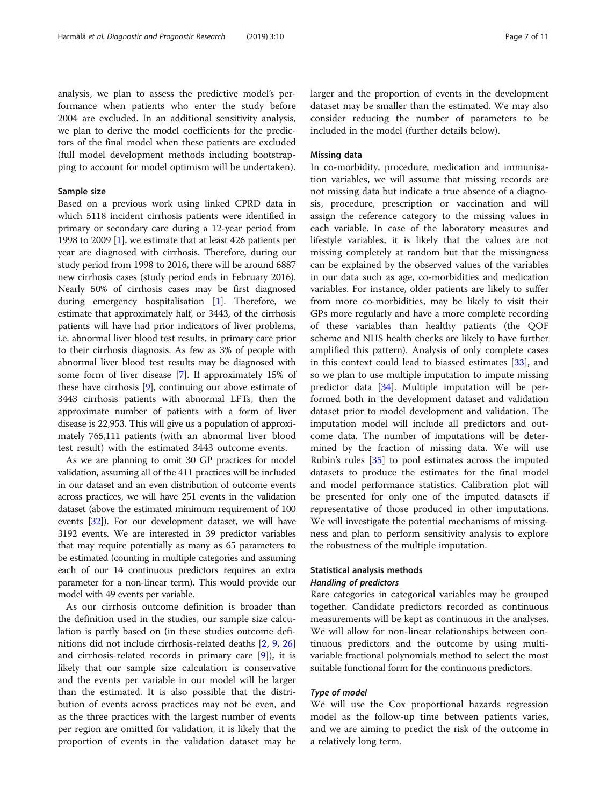analysis, we plan to assess the predictive model's performance when patients who enter the study before 2004 are excluded. In an additional sensitivity analysis, we plan to derive the model coefficients for the predictors of the final model when these patients are excluded (full model development methods including bootstrapping to account for model optimism will be undertaken).

#### Sample size

Based on a previous work using linked CPRD data in which 5118 incident cirrhosis patients were identified in primary or secondary care during a 12-year period from 1998 to 2009 [[1](#page-9-0)], we estimate that at least 426 patients per year are diagnosed with cirrhosis. Therefore, during our study period from 1998 to 2016, there will be around 6887 new cirrhosis cases (study period ends in February 2016). Nearly 50% of cirrhosis cases may be first diagnosed during emergency hospitalisation [[1](#page-9-0)]. Therefore, we estimate that approximately half, or 3443, of the cirrhosis patients will have had prior indicators of liver problems, i.e. abnormal liver blood test results, in primary care prior to their cirrhosis diagnosis. As few as 3% of people with abnormal liver blood test results may be diagnosed with some form of liver disease [[7](#page-9-0)]. If approximately 15% of these have cirrhosis [[9\]](#page-9-0), continuing our above estimate of 3443 cirrhosis patients with abnormal LFTs, then the approximate number of patients with a form of liver disease is 22,953. This will give us a population of approximately 765,111 patients (with an abnormal liver blood test result) with the estimated 3443 outcome events.

As we are planning to omit 30 GP practices for model validation, assuming all of the 411 practices will be included in our dataset and an even distribution of outcome events across practices, we will have 251 events in the validation dataset (above the estimated minimum requirement of 100 events [\[32\]](#page-9-0)). For our development dataset, we will have 3192 events. We are interested in 39 predictor variables that may require potentially as many as 65 parameters to be estimated (counting in multiple categories and assuming each of our 14 continuous predictors requires an extra parameter for a non-linear term). This would provide our model with 49 events per variable.

As our cirrhosis outcome definition is broader than the definition used in the studies, our sample size calculation is partly based on (in these studies outcome definitions did not include cirrhosis-related deaths [[2,](#page-9-0) [9](#page-9-0), [26](#page-9-0)] and cirrhosis-related records in primary care [[9\]](#page-9-0)), it is likely that our sample size calculation is conservative and the events per variable in our model will be larger than the estimated. It is also possible that the distribution of events across practices may not be even, and as the three practices with the largest number of events per region are omitted for validation, it is likely that the proportion of events in the validation dataset may be larger and the proportion of events in the development dataset may be smaller than the estimated. We may also consider reducing the number of parameters to be included in the model (further details below).

## Missing data

In co-morbidity, procedure, medication and immunisation variables, we will assume that missing records are not missing data but indicate a true absence of a diagnosis, procedure, prescription or vaccination and will assign the reference category to the missing values in each variable. In case of the laboratory measures and lifestyle variables, it is likely that the values are not missing completely at random but that the missingness can be explained by the observed values of the variables in our data such as age, co-morbidities and medication variables. For instance, older patients are likely to suffer from more co-morbidities, may be likely to visit their GPs more regularly and have a more complete recording of these variables than healthy patients (the QOF scheme and NHS health checks are likely to have further amplified this pattern). Analysis of only complete cases in this context could lead to biassed estimates [[33\]](#page-9-0), and so we plan to use multiple imputation to impute missing predictor data [[34\]](#page-9-0). Multiple imputation will be performed both in the development dataset and validation dataset prior to model development and validation. The imputation model will include all predictors and outcome data. The number of imputations will be determined by the fraction of missing data. We will use Rubin's rules [\[35](#page-10-0)] to pool estimates across the imputed datasets to produce the estimates for the final model and model performance statistics. Calibration plot will be presented for only one of the imputed datasets if representative of those produced in other imputations. We will investigate the potential mechanisms of missingness and plan to perform sensitivity analysis to explore the robustness of the multiple imputation.

## Statistical analysis methods Handling of predictors

Rare categories in categorical variables may be grouped together. Candidate predictors recorded as continuous measurements will be kept as continuous in the analyses. We will allow for non-linear relationships between continuous predictors and the outcome by using multivariable fractional polynomials method to select the most suitable functional form for the continuous predictors.

### Type of model

We will use the Cox proportional hazards regression model as the follow-up time between patients varies, and we are aiming to predict the risk of the outcome in a relatively long term.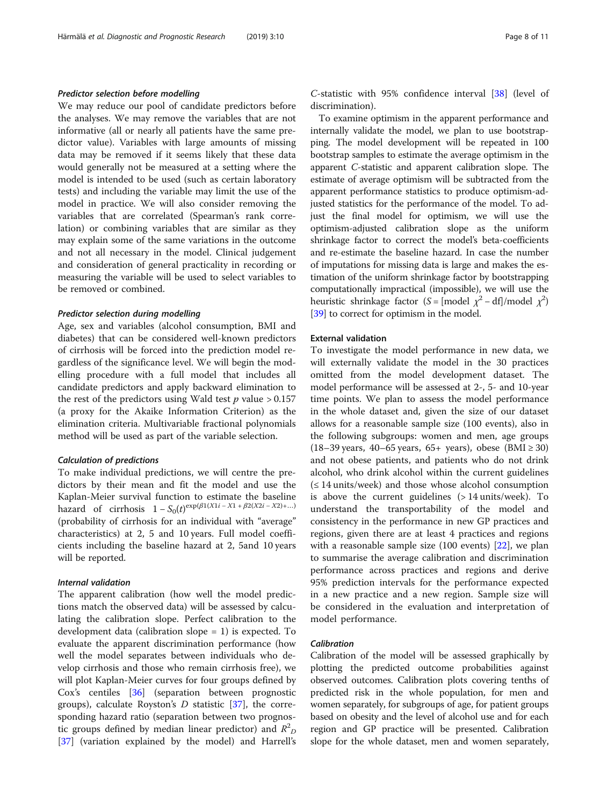### Predictor selection before modelling

We may reduce our pool of candidate predictors before the analyses. We may remove the variables that are not informative (all or nearly all patients have the same predictor value). Variables with large amounts of missing data may be removed if it seems likely that these data would generally not be measured at a setting where the model is intended to be used (such as certain laboratory tests) and including the variable may limit the use of the model in practice. We will also consider removing the variables that are correlated (Spearman's rank correlation) or combining variables that are similar as they may explain some of the same variations in the outcome and not all necessary in the model. Clinical judgement and consideration of general practicality in recording or measuring the variable will be used to select variables to be removed or combined.

### Predictor selection during modelling

Age, sex and variables (alcohol consumption, BMI and diabetes) that can be considered well-known predictors of cirrhosis will be forced into the prediction model regardless of the significance level. We will begin the modelling procedure with a full model that includes all candidate predictors and apply backward elimination to the rest of the predictors using Wald test  $p$  value > 0.157 (a proxy for the Akaike Information Criterion) as the elimination criteria. Multivariable fractional polynomials method will be used as part of the variable selection.

## Calculation of predictions

To make individual predictions, we will centre the predictors by their mean and fit the model and use the Kaplan-Meier survival function to estimate the baseline hazard of cirrhosis  $1 - S_0(t)^{\exp(\beta 1)(X1i - X1 + \beta 2(X2i - X2) + ...)}$ (probability of cirrhosis for an individual with "average" characteristics) at 2, 5 and 10 years. Full model coefficients including the baseline hazard at 2, 5and 10 years will be reported.

## Internal validation

The apparent calibration (how well the model predictions match the observed data) will be assessed by calculating the calibration slope. Perfect calibration to the development data (calibration slope = 1) is expected. To evaluate the apparent discrimination performance (how well the model separates between individuals who develop cirrhosis and those who remain cirrhosis free), we will plot Kaplan-Meier curves for four groups defined by Cox's centiles [[36](#page-10-0)] (separation between prognostic groups), calculate Royston's  $D$  statistic [\[37\]](#page-10-0), the corresponding hazard ratio (separation between two prognostic groups defined by median linear predictor) and  $R^2$ <sub>D</sub> [[37\]](#page-10-0) (variation explained by the model) and Harrell's C-statistic with 95% confidence interval [\[38](#page-10-0)] (level of discrimination).

To examine optimism in the apparent performance and internally validate the model, we plan to use bootstrapping. The model development will be repeated in 100 bootstrap samples to estimate the average optimism in the apparent C-statistic and apparent calibration slope. The estimate of average optimism will be subtracted from the apparent performance statistics to produce optimism-adjusted statistics for the performance of the model. To adjust the final model for optimism, we will use the optimism-adjusted calibration slope as the uniform shrinkage factor to correct the model's beta-coefficients and re-estimate the baseline hazard. In case the number of imputations for missing data is large and makes the estimation of the uniform shrinkage factor by bootstrapping computationally impractical (impossible), we will use the heuristic shrinkage factor (S = [model  $\chi^2$  – df]/model  $\chi^2$ ) [[39](#page-10-0)] to correct for optimism in the model.

### External validation

To investigate the model performance in new data, we will externally validate the model in the 30 practices omitted from the model development dataset. The model performance will be assessed at 2-, 5- and 10-year time points. We plan to assess the model performance in the whole dataset and, given the size of our dataset allows for a reasonable sample size (100 events), also in the following subgroups: women and men, age groups (18–39 years, 40–65 years, 65+ years), obese (BMI ≥ 30) and not obese patients, and patients who do not drink alcohol, who drink alcohol within the current guidelines  $( $\leq$  14 units/week)$  and those whose alcohol consumption is above the current guidelines (> 14 units/week). To understand the transportability of the model and consistency in the performance in new GP practices and regions, given there are at least 4 practices and regions with a reasonable sample size  $(100 \text{ events})$   $[22]$  $[22]$ , we plan to summarise the average calibration and discrimination performance across practices and regions and derive 95% prediction intervals for the performance expected in a new practice and a new region. Sample size will be considered in the evaluation and interpretation of model performance.

#### Calibration

Calibration of the model will be assessed graphically by plotting the predicted outcome probabilities against observed outcomes. Calibration plots covering tenths of predicted risk in the whole population, for men and women separately, for subgroups of age, for patient groups based on obesity and the level of alcohol use and for each region and GP practice will be presented. Calibration slope for the whole dataset, men and women separately,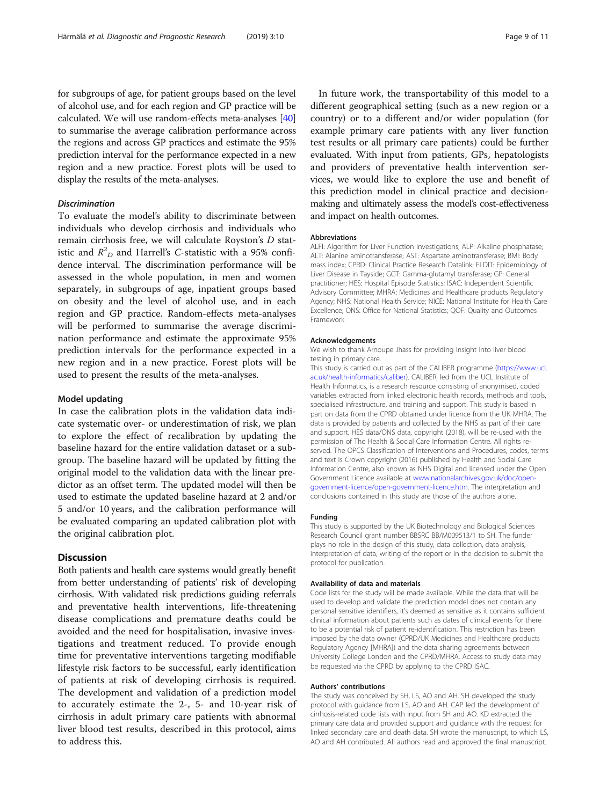for subgroups of age, for patient groups based on the level of alcohol use, and for each region and GP practice will be calculated. We will use random-effects meta-analyses [[40](#page-10-0)] to summarise the average calibration performance across the regions and across GP practices and estimate the 95% prediction interval for the performance expected in a new region and a new practice. Forest plots will be used to display the results of the meta-analyses.

## Discrimination

To evaluate the model's ability to discriminate between individuals who develop cirrhosis and individuals who remain cirrhosis free, we will calculate Royston's D statistic and  $R^2_D$  and Harrell's C-statistic with a 95% confidence interval. The discrimination performance will be assessed in the whole population, in men and women separately, in subgroups of age, inpatient groups based on obesity and the level of alcohol use, and in each region and GP practice. Random-effects meta-analyses will be performed to summarise the average discrimination performance and estimate the approximate 95% prediction intervals for the performance expected in a new region and in a new practice. Forest plots will be used to present the results of the meta-analyses.

### Model updating

In case the calibration plots in the validation data indicate systematic over- or underestimation of risk, we plan to explore the effect of recalibration by updating the baseline hazard for the entire validation dataset or a subgroup. The baseline hazard will be updated by fitting the original model to the validation data with the linear predictor as an offset term. The updated model will then be used to estimate the updated baseline hazard at 2 and/or 5 and/or 10 years, and the calibration performance will be evaluated comparing an updated calibration plot with the original calibration plot.

### **Discussion**

Both patients and health care systems would greatly benefit from better understanding of patients' risk of developing cirrhosis. With validated risk predictions guiding referrals and preventative health interventions, life-threatening disease complications and premature deaths could be avoided and the need for hospitalisation, invasive investigations and treatment reduced. To provide enough time for preventative interventions targeting modifiable lifestyle risk factors to be successful, early identification of patients at risk of developing cirrhosis is required. The development and validation of a prediction model to accurately estimate the 2-, 5- and 10-year risk of cirrhosis in adult primary care patients with abnormal liver blood test results, described in this protocol, aims to address this.

In future work, the transportability of this model to a different geographical setting (such as a new region or a country) or to a different and/or wider population (for example primary care patients with any liver function test results or all primary care patients) could be further evaluated. With input from patients, GPs, hepatologists and providers of preventative health intervention services, we would like to explore the use and benefit of this prediction model in clinical practice and decisionmaking and ultimately assess the model's cost-effectiveness and impact on health outcomes.

#### **Abbreviations**

ALFI: Algorithm for Liver Function Investigations; ALP: Alkaline phosphatase; ALT: Alanine aminotransferase; AST: Aspartate aminotransferase; BMI: Body mass index; CPRD: Clinical Practice Research Datalink; ELDIT: Epidemiology of Liver Disease in Tayside; GGT: Gamma-glutamyl transferase; GP: General practitioner; HES: Hospital Episode Statistics; ISAC: Independent Scientific Advisory Committee; MHRA: Medicines and Healthcare products Regulatory Agency; NHS: National Health Service; NICE: National Institute for Health Care Excellence; ONS: Office for National Statistics; QOF: Quality and Outcomes Framework

#### Acknowledgements

We wish to thank Arnoupe Jhass for providing insight into liver blood testing in primary care.

This study is carried out as part of the CALIBER programme [\(https://www.ucl.](https://www.ucl.ac.uk/health-informatics/caliber) [ac.uk/health-informatics/caliber](https://www.ucl.ac.uk/health-informatics/caliber)). CALIBER, led from the UCL Institute of Health Informatics, is a research resource consisting of anonymised, coded variables extracted from linked electronic health records, methods and tools, specialised infrastructure, and training and support. This study is based in part on data from the CPRD obtained under licence from the UK MHRA. The data is provided by patients and collected by the NHS as part of their care and support. HES data/ONS data, copyright (2018), will be re-used with the permission of The Health & Social Care Information Centre. All rights reserved. The OPCS Classification of Interventions and Procedures, codes, terms and text is Crown copyright (2016) published by Health and Social Care Information Centre, also known as NHS Digital and licensed under the Open Government Licence available at [www.nationalarchives.gov.uk/doc/open](http://www.nationalarchives.gov.uk/doc/open-government-licence/open-government-licence.htm)[government-licence/open-government-licence.htm](http://www.nationalarchives.gov.uk/doc/open-government-licence/open-government-licence.htm). The interpretation and conclusions contained in this study are those of the authors alone.

#### Funding

This study is supported by the UK Biotechnology and Biological Sciences Research Council grant number BBSRC BB/M009513/1 to SH. The funder plays no role in the design of this study, data collection, data analysis, interpretation of data, writing of the report or in the decision to submit the protocol for publication.

#### Availability of data and materials

Code lists for the study will be made available. While the data that will be used to develop and validate the prediction model does not contain any personal sensitive identifiers, it's deemed as sensitive as it contains sufficient clinical information about patients such as dates of clinical events for there to be a potential risk of patient re-identification. This restriction has been imposed by the data owner (CPRD/UK Medicines and Healthcare products Regulatory Agency [MHRA]) and the data sharing agreements between University College London and the CPRD/MHRA. Access to study data may be requested via the CPRD by applying to the CPRD ISAC.

#### Authors' contributions

The study was conceived by SH, LS, AO and AH. SH developed the study protocol with guidance from LS, AO and AH. CAP led the development of cirrhosis-related code lists with input from SH and AO. KD extracted the primary care data and provided support and guidance with the request for linked secondary care and death data. SH wrote the manuscript, to which LS, AO and AH contributed. All authors read and approved the final manuscript.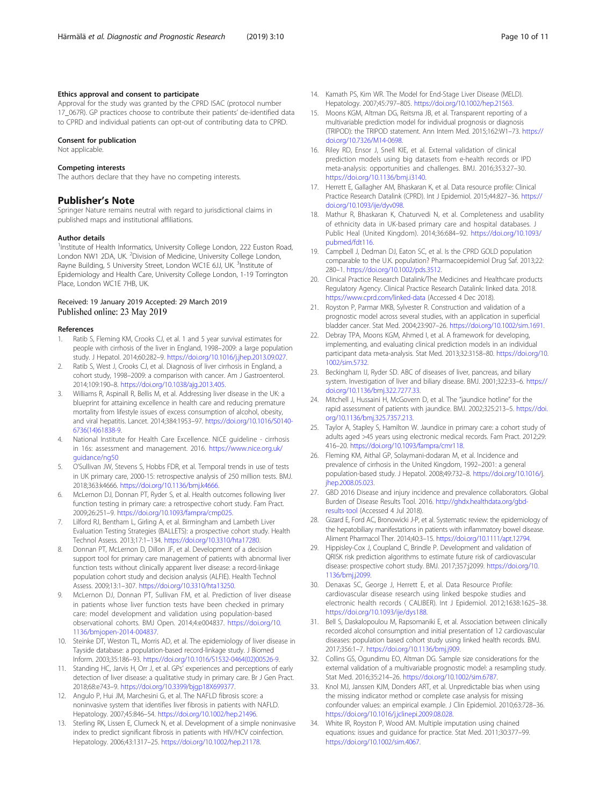#### <span id="page-9-0"></span>Ethics approval and consent to participate

Approval for the study was granted by the CPRD ISAC (protocol number 17\_067R). GP practices choose to contribute their patients' de-identified data to CPRD and individual patients can opt-out of contributing data to CPRD.

#### Consent for publication

Not applicable.

#### Competing interests

The authors declare that they have no competing interests.

#### Publisher's Note

Springer Nature remains neutral with regard to jurisdictional claims in published maps and institutional affiliations.

#### Author details

<sup>1</sup>Institute of Health Informatics, University College London, 222 Euston Road, London NW1 2DA, UK. <sup>2</sup>Division of Medicine, University College London, Rayne Building, 5 University Street, London WC1E 6JJ, UK. <sup>3</sup>Institute of Epidemiology and Health Care, University College London, 1-19 Torrington Place, London WC1E 7HB, UK.

### Received: 19 January 2019 Accepted: 29 March 2019 Published online: 23 May 2019

#### References

- 1. Ratib S, Fleming KM, Crooks CJ, et al. 1 and 5 year survival estimates for people with cirrhosis of the liver in England, 1998–2009: a large population study. J Hepatol. 2014;60:282–9. [https://doi.org/10.1016/j.jhep.2013.09.027.](https://doi.org/10.1016/j.jhep.2013.09.027)
- 2. Ratib S, West J, Crooks CJ, et al. Diagnosis of liver cirrhosis in England, a cohort study, 1998–2009: a comparison with cancer. Am J Gastroenterol. 2014;109:190–8. <https://doi.org/10.1038/ajg.2013.405>.
- 3. Williams R, Aspinall R, Bellis M, et al. Addressing liver disease in the UK: a blueprint for attaining excellence in health care and reducing premature mortality from lifestyle issues of excess consumption of alcohol, obesity, and viral hepatitis. Lancet. 2014;384:1953–97. [https://doi.org/10.1016/S0140-](https://doi.org/10.1016/S0140-6736(14)61838-9) [6736\(14\)61838-9](https://doi.org/10.1016/S0140-6736(14)61838-9).
- 4. National Institute for Health Care Excellence. NICE guideline cirrhosis in 16s: assessment and management. 2016. [https://www.nice.org.uk/](https://www.nice.org.uk/guidance/ng50) [guidance/ng50](https://www.nice.org.uk/guidance/ng50)
- 5. O'Sullivan JW, Stevens S, Hobbs FDR, et al. Temporal trends in use of tests in UK primary care, 2000-15: retrospective analysis of 250 million tests. BMJ. 2018;363:k4666. <https://doi.org/10.1136/bmj.k4666>.
- 6. McLernon DJ, Donnan PT, Ryder S, et al. Health outcomes following liver function testing in primary care: a retrospective cohort study. Fam Pract. 2009;26:251–9. [https://doi.org/10.1093/fampra/cmp025.](https://doi.org/10.1093/fampra/cmp025)
- Lilford RJ, Bentham L, Girling A, et al. Birmingham and Lambeth Liver Evaluation Testing Strategies (BALLETS): a prospective cohort study. Health Technol Assess. 2013;17:1–134. [https://doi.org/10.3310/hta17280.](https://doi.org/10.3310/hta17280)
- 8. Donnan PT, McLernon D, Dillon JF, et al. Development of a decision support tool for primary care management of patients with abnormal liver function tests without clinically apparent liver disease: a record-linkage population cohort study and decision analysis (ALFIE). Health Technol Assess. 2009;13:1–307. [https://doi.org/10.3310/hta13250.](https://doi.org/10.3310/hta13250)
- 9. McLernon DJ, Donnan PT, Sullivan FM, et al. Prediction of liver disease in patients whose liver function tests have been checked in primary care: model development and validation using population-based observational cohorts. BMJ Open. 2014;4:e004837. [https://doi.org/10.](https://doi.org/10.1136/bmjopen-2014-004837) [1136/bmjopen-2014-004837](https://doi.org/10.1136/bmjopen-2014-004837).
- 10. Steinke DT, Weston TL, Morris AD, et al. The epidemiology of liver disease in Tayside database: a population-based record-linkage study. J Biomed Inform. 2003;35:186–93. [https://doi.org/10.1016/S1532-0464\(02\)00526-9.](https://doi.org/10.1016/S1532-0464(02)00526-9)
- 11. Standing HC, Jarvis H, Orr J, et al. GPs' experiences and perceptions of early detection of liver disease: a qualitative study in primary care. Br J Gen Pract. 2018;68:e743–9. [https://doi.org/10.3399/bjgp18X699377.](https://doi.org/10.3399/bjgp18X699377)
- 12. Angulo P, Hui JM, Marchesini G, et al. The NAFLD fibrosis score: a noninvasive system that identifies liver fibrosis in patients with NAFLD. Hepatology. 2007;45:846–54. <https://doi.org/10.1002/hep.21496>.
- 13. Sterling RK, Lissen E, Clumeck N, et al. Development of a simple noninvasive index to predict significant fibrosis in patients with HIV/HCV coinfection. Hepatology. 2006;43:1317–25. [https://doi.org/10.1002/hep.21178.](https://doi.org/10.1002/hep.21178)
- 14. Kamath PS, Kim WR. The Model for End-Stage Liver Disease (MELD). Hepatology. 2007;45:797–805. [https://doi.org/10.1002/hep.21563.](https://doi.org/10.1002/hep.21563)
- 15. Moons KGM, Altman DG, Reitsma JB, et al. Transparent reporting of a multivariable prediction model for individual prognosis or diagnosis (TRIPOD): the TRIPOD statement. Ann Intern Med. 2015;162:W1–73. [https://](https://doi.org/10.7326/M14-0698) [doi.org/10.7326/M14-0698](https://doi.org/10.7326/M14-0698).
- 16. Riley RD, Ensor J, Snell KIE, et al. External validation of clinical prediction models using big datasets from e-health records or IPD meta-analysis: opportunities and challenges. BMJ. 2016;353:27–30. <https://doi.org/10.1136/bmj.i3140>.
- 17. Herrett E, Gallagher AM, Bhaskaran K, et al. Data resource profile: Clinical Practice Research Datalink (CPRD). Int J Epidemiol. 2015;44:827–36. [https://](https://doi.org/10.1093/ije/dyv098) [doi.org/10.1093/ije/dyv098.](https://doi.org/10.1093/ije/dyv098)
- 18. Mathur R, Bhaskaran K, Chaturvedi N, et al. Completeness and usability of ethnicity data in UK-based primary care and hospital databases. J Public Heal (United Kingdom). 2014;36:684–92. [https://doi.org/10.1093/](https://doi.org/10.1093/pubmed/fdt116) [pubmed/fdt116.](https://doi.org/10.1093/pubmed/fdt116)
- 19. Campbell J, Dedman DJ, Eaton SC, et al. Is the CPRD GOLD population comparable to the U.K. population? Pharmacoepidemiol Drug Saf. 2013;22: 280–1. [https://doi.org/10.1002/pds.3512.](https://doi.org/10.1002/pds.3512)
- 20. Clinical Practice Research Datalink/The Medicines and Healthcare products Regulatory Agency. Clinical Practice Research Datalink: linked data. 2018. <https://www.cprd.com/linked-data> (Accessed 4 Dec 2018).
- 21. Royston P, Parmar MKB, Sylvester R. Construction and validation of a prognostic model across several studies, with an application in superficial bladder cancer. Stat Med. 2004;23:907–26. <https://doi.org/10.1002/sim.1691>.
- 22. Debray TPA, Moons KGM, Ahmed I, et al. A framework for developing, implementing, and evaluating clinical prediction models in an individual participant data meta-analysis. Stat Med. 2013;32:3158–80. [https://doi.org/10.](https://doi.org/10.1002/sim.5732) [1002/sim.5732.](https://doi.org/10.1002/sim.5732)
- 23. Beckingham IJ, Ryder SD. ABC of diseases of liver, pancreas, and biliary system. Investigation of liver and biliary disease. BMJ. 2001;322:33–6. [https://](https://doi.org/10.1136/bmj.322.7277.33) [doi.org/10.1136/bmj.322.7277.33.](https://doi.org/10.1136/bmj.322.7277.33)
- 24. Mitchell J, Hussaini H, McGovern D, et al. The "jaundice hotline" for the rapid assessment of patients with jaundice. BMJ. 2002;325:213–5. [https://doi.](https://doi.org/10.1136/bmj.325.7357.213) [org/10.1136/bmj.325.7357.213.](https://doi.org/10.1136/bmj.325.7357.213)
- 25. Taylor A, Stapley S, Hamilton W. Jaundice in primary care: a cohort study of adults aged >45 years using electronic medical records. Fam Pract. 2012;29: 416–20. [https://doi.org/10.1093/fampra/cmr118.](https://doi.org/10.1093/fampra/cmr118)
- 26. Fleming KM, Aithal GP, Solaymani-dodaran M, et al. Incidence and prevalence of cirrhosis in the United Kingdom, 1992–2001: a general population-based study. J Hepatol. 2008;49:732–8. [https://doi.org/10.1016/j.](https://doi.org/10.1016/j.jhep.2008.05.023) ihep.2008.05.023.
- 27. GBD 2016 Disease and injury incidence and prevalence collaborators. Global Burden of Disease Results Tool. 2016. [http://ghdx.healthdata.org/gbd](http://ghdx.healthdata.org/gbd-results-tool)[results-tool](http://ghdx.healthdata.org/gbd-results-tool) (Accessed 4 Jul 2018).
- 28. Gizard E, Ford AC, Bronowicki J-P, et al. Systematic review: the epidemiology of the hepatobiliary manifestations in patients with inflammatory bowel disease. Aliment Pharmacol Ther. 2014;40:3–15. [https://doi.org/10.1111/apt.12794.](https://doi.org/10.1111/apt.12794)
- 29. Hippisley-Cox J, Coupland C, Brindle P. Development and validation of QRISK risk prediction algorithms to estimate future risk of cardiovascular disease: prospective cohort study. BMJ. 2017;357:j2099. [https://doi.org/10.](https://doi.org/10.1136/bmj.j2099) [1136/bmj.j2099](https://doi.org/10.1136/bmj.j2099).
- 30. Denaxas SC, George J, Herrett E, et al. Data Resource Profile: cardiovascular disease research using linked bespoke studies and electronic health records ( CALIBER). Int J Epidemiol. 2012;1638:1625–38. [https://doi.org/10.1093/ije/dys188.](https://doi.org/10.1093/ije/dys188)
- 31. Bell S, Daskalopoulou M, Rapsomaniki E, et al. Association between clinically recorded alcohol consumption and initial presentation of 12 cardiovascular diseases: population based cohort study using linked health records. BMJ. 2017;356:1–7. [https://doi.org/10.1136/bmj.j909.](https://doi.org/10.1136/bmj.j909)
- 32. Collins GS, Ogundimu EO, Altman DG. Sample size considerations for the external validation of a multivariable prognostic model: a resampling study. Stat Med. 2016;35:214–26. <https://doi.org/10.1002/sim.6787>.
- 33. Knol MJ, Janssen KJM, Donders ART, et al. Unpredictable bias when using the missing indicator method or complete case analysis for missing confounder values: an empirical example. J Clin Epidemiol. 2010;63:728–36. [https://doi.org/10.1016/j.jclinepi.2009.08.028.](https://doi.org/10.1016/j.jclinepi.2009.08.028)
- 34. White IR, Royston P, Wood AM. Multiple imputation using chained equations: issues and guidance for practice. Stat Med. 2011;30:377–99. [https://doi.org/10.1002/sim.4067.](https://doi.org/10.1002/sim.4067)